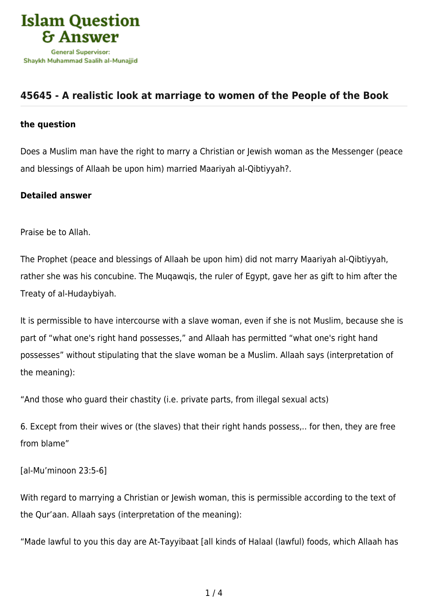

## **[45645 - A realistic look at marriage to women of the People of the Book](https://islamqa.com/en/answers/45645/a-realistic-look-at-marriage-to-women-of-the-people-of-the-book)**

## **the question**

Does a Muslim man have the right to marry a Christian or Jewish woman as the Messenger (peace and blessings of Allaah be upon him) married Maariyah al-Qibtiyyah?.

## **Detailed answer**

Praise be to Allah.

The Prophet (peace and blessings of Allaah be upon him) did not marry Maariyah al-Qibtiyyah, rather she was his concubine. The Muqawqis, the ruler of Egypt, gave her as gift to him after the Treaty of al-Hudaybiyah.

It is permissible to have intercourse with a slave woman, even if she is not Muslim, because she is part of "what one's right hand possesses," and Allaah has permitted "what one's right hand possesses" without stipulating that the slave woman be a Muslim. Allaah says (interpretation of the meaning):

"And those who guard their chastity (i.e. private parts, from illegal sexual acts)

6. Except from their wives or (the slaves) that their right hands possess,.. for then, they are free from blame"

[al-Mu'minoon 23:5-6]

With regard to marrying a Christian or Jewish woman, this is permissible according to the text of the Qur'aan. Allaah says (interpretation of the meaning):

"Made lawful to you this day are At‑Tayyibaat [all kinds of Halaal (lawful) foods, which Allaah has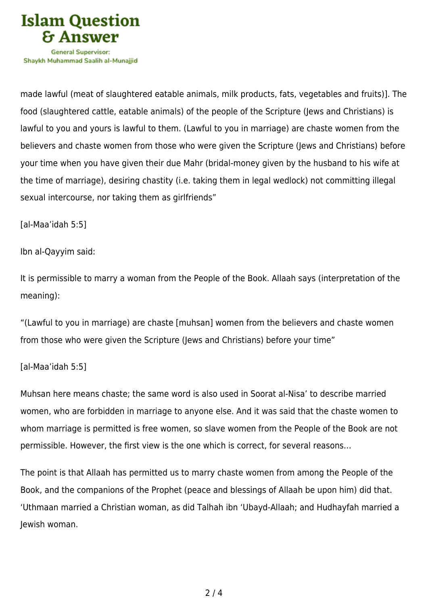

made lawful (meat of slaughtered eatable animals, milk products, fats, vegetables and fruits)]. The food (slaughtered cattle, eatable animals) of the people of the Scripture (Jews and Christians) is lawful to you and yours is lawful to them. (Lawful to you in marriage) are chaste women from the believers and chaste women from those who were given the Scripture (Jews and Christians) before your time when you have given their due Mahr (bridal-money given by the husband to his wife at the time of marriage), desiring chastity (i.e. taking them in legal wedlock) not committing illegal sexual intercourse, nor taking them as girlfriends"

[al-Maa'idah 5:5]

Ibn al-Qayyim said:

It is permissible to marry a woman from the People of the Book. Allaah says (interpretation of the meaning):

"(Lawful to you in marriage) are chaste [muhsan] women from the believers and chaste women from those who were given the Scripture (Jews and Christians) before your time"

## [al-Maa'idah 5:5]

Muhsan here means chaste; the same word is also used in Soorat al-Nisa' to describe married women, who are forbidden in marriage to anyone else. And it was said that the chaste women to whom marriage is permitted is free women, so slave women from the People of the Book are not permissible. However, the first view is the one which is correct, for several reasons…

The point is that Allaah has permitted us to marry chaste women from among the People of the Book, and the companions of the Prophet (peace and blessings of Allaah be upon him) did that. 'Uthmaan married a Christian woman, as did Talhah ibn 'Ubayd-Allaah; and Hudhayfah married a Jewish woman.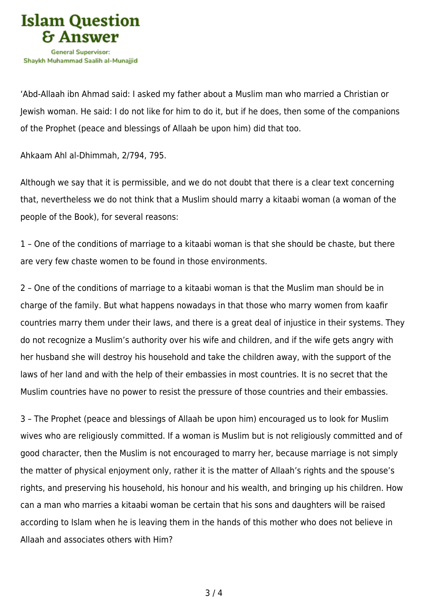

'Abd-Allaah ibn Ahmad said: I asked my father about a Muslim man who married a Christian or Jewish woman. He said: I do not like for him to do it, but if he does, then some of the companions of the Prophet (peace and blessings of Allaah be upon him) did that too.

Ahkaam Ahl al-Dhimmah, 2/794, 795.

Although we say that it is permissible, and we do not doubt that there is a clear text concerning that, nevertheless we do not think that a Muslim should marry a kitaabi woman (a woman of the people of the Book), for several reasons:

1 – One of the conditions of marriage to a kitaabi woman is that she should be chaste, but there are very few chaste women to be found in those environments.

2 – One of the conditions of marriage to a kitaabi woman is that the Muslim man should be in charge of the family. But what happens nowadays in that those who marry women from kaafir countries marry them under their laws, and there is a great deal of injustice in their systems. They do not recognize a Muslim's authority over his wife and children, and if the wife gets angry with her husband she will destroy his household and take the children away, with the support of the laws of her land and with the help of their embassies in most countries. It is no secret that the Muslim countries have no power to resist the pressure of those countries and their embassies.

3 – The Prophet (peace and blessings of Allaah be upon him) encouraged us to look for Muslim wives who are religiously committed. If a woman is Muslim but is not religiously committed and of good character, then the Muslim is not encouraged to marry her, because marriage is not simply the matter of physical enjoyment only, rather it is the matter of Allaah's rights and the spouse's rights, and preserving his household, his honour and his wealth, and bringing up his children. How can a man who marries a kitaabi woman be certain that his sons and daughters will be raised according to Islam when he is leaving them in the hands of this mother who does not believe in Allaah and associates others with Him?